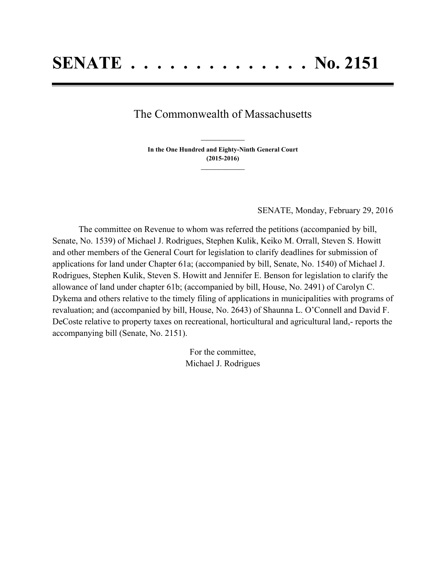## The Commonwealth of Massachusetts

**In the One Hundred and Eighty-Ninth General Court (2015-2016) \_\_\_\_\_\_\_\_\_\_\_\_\_\_\_**

**\_\_\_\_\_\_\_\_\_\_\_\_\_\_\_**

SENATE, Monday, February 29, 2016

The committee on Revenue to whom was referred the petitions (accompanied by bill, Senate, No. 1539) of Michael J. Rodrigues, Stephen Kulik, Keiko M. Orrall, Steven S. Howitt and other members of the General Court for legislation to clarify deadlines for submission of applications for land under Chapter 61a; (accompanied by bill, Senate, No. 1540) of Michael J. Rodrigues, Stephen Kulik, Steven S. Howitt and Jennifer E. Benson for legislation to clarify the allowance of land under chapter 61b; (accompanied by bill, House, No. 2491) of Carolyn C. Dykema and others relative to the timely filing of applications in municipalities with programs of revaluation; and (accompanied by bill, House, No. 2643) of Shaunna L. O'Connell and David F. DeCoste relative to property taxes on recreational, horticultural and agricultural land,- reports the accompanying bill (Senate, No. 2151).

> For the committee, Michael J. Rodrigues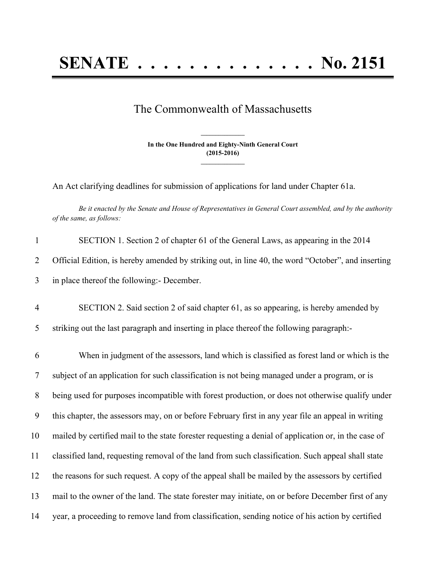## **SENATE . . . . . . . . . . . . . . No. 2151**

## The Commonwealth of Massachusetts

**In the One Hundred and Eighty-Ninth General Court (2015-2016) \_\_\_\_\_\_\_\_\_\_\_\_\_\_\_**

**\_\_\_\_\_\_\_\_\_\_\_\_\_\_\_**

An Act clarifying deadlines for submission of applications for land under Chapter 61a.

Be it enacted by the Senate and House of Representatives in General Court assembled, and by the authority *of the same, as follows:*

| $\mathbf{1}$   | SECTION 1. Section 2 of chapter 61 of the General Laws, as appearing in the 2014                     |
|----------------|------------------------------------------------------------------------------------------------------|
| $\overline{2}$ | Official Edition, is hereby amended by striking out, in line 40, the word "October", and inserting   |
| 3              | in place thereof the following:- December.                                                           |
| $\overline{4}$ | SECTION 2. Said section 2 of said chapter 61, as so appearing, is hereby amended by                  |
| 5              | striking out the last paragraph and inserting in place thereof the following paragraph:-             |
| 6              | When in judgment of the assessors, land which is classified as forest land or which is the           |
| 7              | subject of an application for such classification is not being managed under a program, or is        |
| $8\phantom{.}$ | being used for purposes incompatible with forest production, or does not otherwise qualify under     |
| 9              | this chapter, the assessors may, on or before February first in any year file an appeal in writing   |
| 10             | mailed by certified mail to the state forester requesting a denial of application or, in the case of |
| 11             | classified land, requesting removal of the land from such classification. Such appeal shall state    |
| 12             | the reasons for such request. A copy of the appeal shall be mailed by the assessors by certified     |
| 13             | mail to the owner of the land. The state forester may initiate, on or before December first of any   |
| 14             | year, a proceeding to remove land from classification, sending notice of his action by certified     |
|                |                                                                                                      |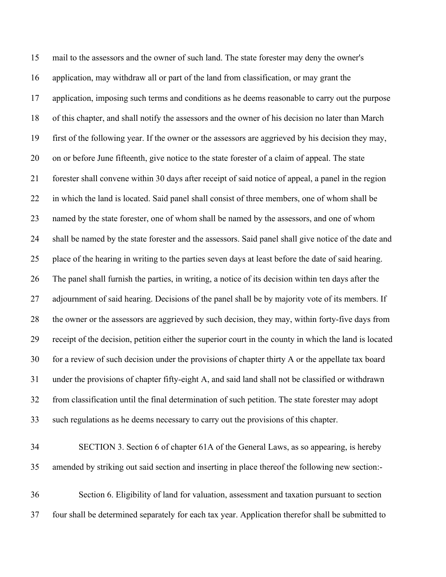mail to the assessors and the owner of such land. The state forester may deny the owner's application, may withdraw all or part of the land from classification, or may grant the application, imposing such terms and conditions as he deems reasonable to carry out the purpose of this chapter, and shall notify the assessors and the owner of his decision no later than March first of the following year. If the owner or the assessors are aggrieved by his decision they may, on or before June fifteenth, give notice to the state forester of a claim of appeal. The state forester shall convene within 30 days after receipt of said notice of appeal, a panel in the region in which the land is located. Said panel shall consist of three members, one of whom shall be named by the state forester, one of whom shall be named by the assessors, and one of whom shall be named by the state forester and the assessors. Said panel shall give notice of the date and place of the hearing in writing to the parties seven days at least before the date of said hearing. The panel shall furnish the parties, in writing, a notice of its decision within ten days after the 27 adjournment of said hearing. Decisions of the panel shall be by majority vote of its members. If the owner or the assessors are aggrieved by such decision, they may, within forty-five days from receipt of the decision, petition either the superior court in the county in which the land is located for a review of such decision under the provisions of chapter thirty A or the appellate tax board under the provisions of chapter fifty-eight A, and said land shall not be classified or withdrawn from classification until the final determination of such petition. The state forester may adopt such regulations as he deems necessary to carry out the provisions of this chapter.

 SECTION 3. Section 6 of chapter 61A of the General Laws, as so appearing, is hereby amended by striking out said section and inserting in place thereof the following new section:-

 Section 6. Eligibility of land for valuation, assessment and taxation pursuant to section four shall be determined separately for each tax year. Application therefor shall be submitted to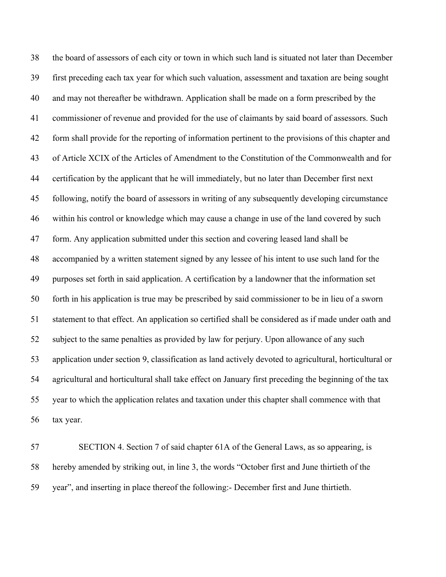the board of assessors of each city or town in which such land is situated not later than December first preceding each tax year for which such valuation, assessment and taxation are being sought and may not thereafter be withdrawn. Application shall be made on a form prescribed by the commissioner of revenue and provided for the use of claimants by said board of assessors. Such form shall provide for the reporting of information pertinent to the provisions of this chapter and of Article XCIX of the Articles of Amendment to the Constitution of the Commonwealth and for certification by the applicant that he will immediately, but no later than December first next following, notify the board of assessors in writing of any subsequently developing circumstance within his control or knowledge which may cause a change in use of the land covered by such form. Any application submitted under this section and covering leased land shall be accompanied by a written statement signed by any lessee of his intent to use such land for the purposes set forth in said application. A certification by a landowner that the information set forth in his application is true may be prescribed by said commissioner to be in lieu of a sworn statement to that effect. An application so certified shall be considered as if made under oath and subject to the same penalties as provided by law for perjury. Upon allowance of any such application under section 9, classification as land actively devoted to agricultural, horticultural or agricultural and horticultural shall take effect on January first preceding the beginning of the tax year to which the application relates and taxation under this chapter shall commence with that tax year.

 SECTION 4. Section 7 of said chapter 61A of the General Laws, as so appearing, is hereby amended by striking out, in line 3, the words "October first and June thirtieth of the year", and inserting in place thereof the following:- December first and June thirtieth.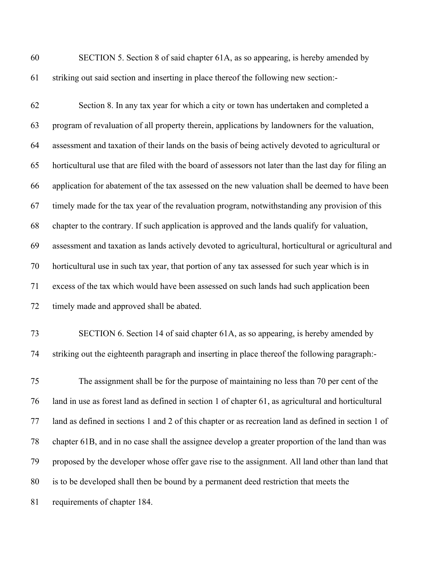SECTION 5. Section 8 of said chapter 61A, as so appearing, is hereby amended by striking out said section and inserting in place thereof the following new section:-

 Section 8. In any tax year for which a city or town has undertaken and completed a program of revaluation of all property therein, applications by landowners for the valuation, assessment and taxation of their lands on the basis of being actively devoted to agricultural or horticultural use that are filed with the board of assessors not later than the last day for filing an application for abatement of the tax assessed on the new valuation shall be deemed to have been timely made for the tax year of the revaluation program, notwithstanding any provision of this chapter to the contrary. If such application is approved and the lands qualify for valuation, assessment and taxation as lands actively devoted to agricultural, horticultural or agricultural and horticultural use in such tax year, that portion of any tax assessed for such year which is in excess of the tax which would have been assessed on such lands had such application been timely made and approved shall be abated.

 SECTION 6. Section 14 of said chapter 61A, as so appearing, is hereby amended by striking out the eighteenth paragraph and inserting in place thereof the following paragraph:-

 The assignment shall be for the purpose of maintaining no less than 70 per cent of the land in use as forest land as defined in section 1 of chapter 61, as agricultural and horticultural land as defined in sections 1 and 2 of this chapter or as recreation land as defined in section 1 of chapter 61B, and in no case shall the assignee develop a greater proportion of the land than was proposed by the developer whose offer gave rise to the assignment. All land other than land that is to be developed shall then be bound by a permanent deed restriction that meets the requirements of chapter 184.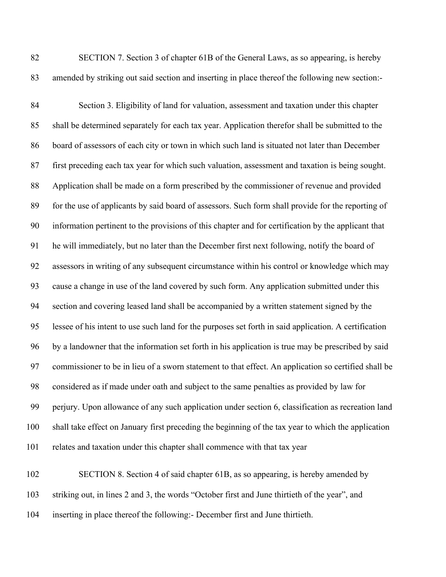SECTION 7. Section 3 of chapter 61B of the General Laws, as so appearing, is hereby amended by striking out said section and inserting in place thereof the following new section:-

 Section 3. Eligibility of land for valuation, assessment and taxation under this chapter shall be determined separately for each tax year. Application therefor shall be submitted to the board of assessors of each city or town in which such land is situated not later than December first preceding each tax year for which such valuation, assessment and taxation is being sought. Application shall be made on a form prescribed by the commissioner of revenue and provided for the use of applicants by said board of assessors. Such form shall provide for the reporting of information pertinent to the provisions of this chapter and for certification by the applicant that he will immediately, but no later than the December first next following, notify the board of assessors in writing of any subsequent circumstance within his control or knowledge which may cause a change in use of the land covered by such form. Any application submitted under this section and covering leased land shall be accompanied by a written statement signed by the lessee of his intent to use such land for the purposes set forth in said application. A certification by a landowner that the information set forth in his application is true may be prescribed by said commissioner to be in lieu of a sworn statement to that effect. An application so certified shall be considered as if made under oath and subject to the same penalties as provided by law for perjury. Upon allowance of any such application under section 6, classification as recreation land shall take effect on January first preceding the beginning of the tax year to which the application relates and taxation under this chapter shall commence with that tax year

 SECTION 8. Section 4 of said chapter 61B, as so appearing, is hereby amended by striking out, in lines 2 and 3, the words "October first and June thirtieth of the year", and inserting in place thereof the following:- December first and June thirtieth.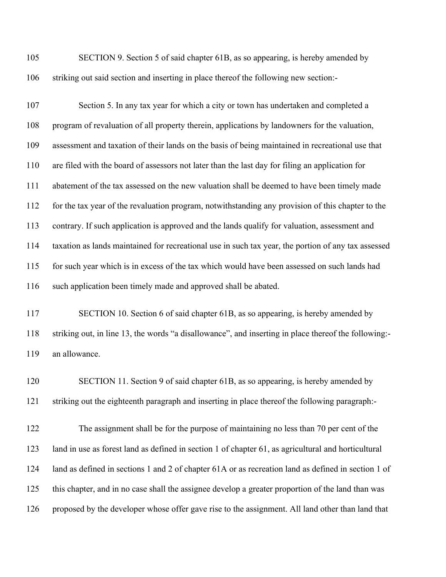| 105 | SECTION 9. Section 5 of said chapter 61B, as so appearing, is hereby amended by     |
|-----|-------------------------------------------------------------------------------------|
| 106 | striking out said section and inserting in place thereof the following new section: |

 Section 5. In any tax year for which a city or town has undertaken and completed a program of revaluation of all property therein, applications by landowners for the valuation, assessment and taxation of their lands on the basis of being maintained in recreational use that are filed with the board of assessors not later than the last day for filing an application for abatement of the tax assessed on the new valuation shall be deemed to have been timely made for the tax year of the revaluation program, notwithstanding any provision of this chapter to the contrary. If such application is approved and the lands qualify for valuation, assessment and taxation as lands maintained for recreational use in such tax year, the portion of any tax assessed for such year which is in excess of the tax which would have been assessed on such lands had such application been timely made and approved shall be abated.

 SECTION 10. Section 6 of said chapter 61B, as so appearing, is hereby amended by striking out, in line 13, the words "a disallowance", and inserting in place thereof the following:- an allowance.

 SECTION 11. Section 9 of said chapter 61B, as so appearing, is hereby amended by striking out the eighteenth paragraph and inserting in place thereof the following paragraph:-

 The assignment shall be for the purpose of maintaining no less than 70 per cent of the land in use as forest land as defined in section 1 of chapter 61, as agricultural and horticultural land as defined in sections 1 and 2 of chapter 61A or as recreation land as defined in section 1 of this chapter, and in no case shall the assignee develop a greater proportion of the land than was proposed by the developer whose offer gave rise to the assignment. All land other than land that